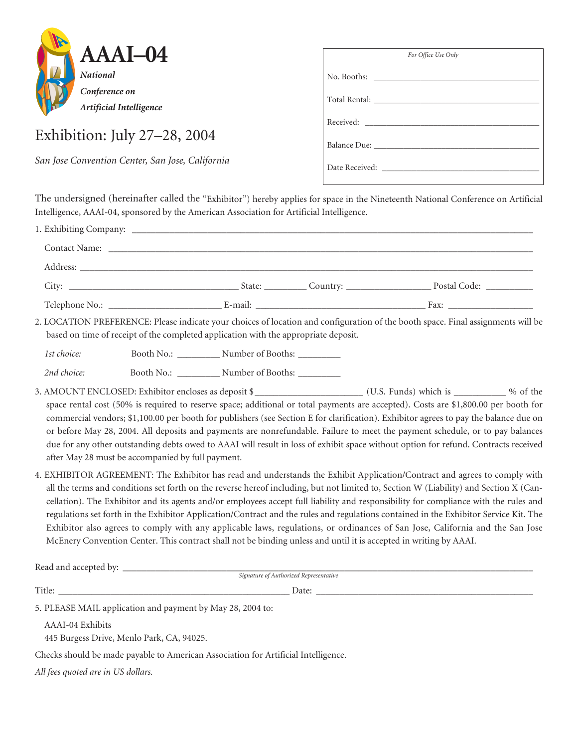

## Exhibition: July 27–28, 2004

*San Jose Convention Center, San Jose, California*

| For Office Use Only |
|---------------------|
|                     |
|                     |
|                     |
|                     |
| Date Received:      |

The undersigned (hereinafter called the "Exhibitor") hereby applies for space in the Nineteenth National Conference on Artificial Intelligence, AAAI-04, sponsored by the American Association for Artificial Intelligence.

|             | based on time of receipt of the completed application with the appropriate deposit. |                                                     |                                                                                                                   | 2. LOCATION PREFERENCE: Please indicate your choices of location and configuration of the booth space. Final assignments will be                                                                                                                                                                                                                                                                                                                                                                                                                                                                                                                                                     |  |
|-------------|-------------------------------------------------------------------------------------|-----------------------------------------------------|-------------------------------------------------------------------------------------------------------------------|--------------------------------------------------------------------------------------------------------------------------------------------------------------------------------------------------------------------------------------------------------------------------------------------------------------------------------------------------------------------------------------------------------------------------------------------------------------------------------------------------------------------------------------------------------------------------------------------------------------------------------------------------------------------------------------|--|
| 1st choice: |                                                                                     | Booth No.: ____________ Number of Booths: _________ |                                                                                                                   |                                                                                                                                                                                                                                                                                                                                                                                                                                                                                                                                                                                                                                                                                      |  |
| 2nd choice: |                                                                                     | Booth No.: ____________ Number of Booths: _________ |                                                                                                                   |                                                                                                                                                                                                                                                                                                                                                                                                                                                                                                                                                                                                                                                                                      |  |
|             | after May 28 must be accompanied by full payment.                                   |                                                     |                                                                                                                   | space rental cost (50% is required to reserve space; additional or total payments are accepted). Costs are \$1,800.00 per booth for<br>commercial vendors; \$1,100.00 per booth for publishers (see Section E for clarification). Exhibitor agrees to pay the balance due on<br>or before May 28, 2004. All deposits and payments are nonrefundable. Failure to meet the payment schedule, or to pay balances<br>due for any other outstanding debts owed to AAAI will result in loss of exhibit space without option for refund. Contracts received                                                                                                                                 |  |
|             |                                                                                     |                                                     | McEnery Convention Center. This contract shall not be binding unless and until it is accepted in writing by AAAI. | 4. EXHIBITOR AGREEMENT: The Exhibitor has read and understands the Exhibit Application/Contract and agrees to comply with<br>all the terms and conditions set forth on the reverse hereof including, but not limited to, Section W (Liability) and Section X (Can-<br>cellation). The Exhibitor and its agents and/or employees accept full liability and responsibility for compliance with the rules and<br>regulations set forth in the Exhibitor Application/Contract and the rules and regulations contained in the Exhibitor Service Kit. The<br>Exhibitor also agrees to comply with any applicable laws, regulations, or ordinances of San Jose, California and the San Jose |  |

Read and accepted by: \_\_\_\_\_\_\_\_\_\_\_\_\_\_\_\_\_\_\_\_\_\_\_\_\_\_\_\_\_\_\_\_\_\_\_\_\_\_\_\_\_\_\_\_\_\_\_\_\_\_\_\_\_\_\_\_\_\_\_\_\_\_\_\_\_\_\_\_\_\_\_\_\_\_\_\_\_\_\_\_\_\_\_\_\_\_\_

*Signature of Authorized Representative*

Title: \_\_\_\_\_\_\_\_\_\_\_\_\_\_\_\_\_\_\_\_\_\_\_\_\_\_\_\_\_\_\_\_\_\_\_\_\_\_\_\_\_\_\_\_\_\_\_\_\_ Date: \_\_\_\_\_\_\_\_\_\_\_\_\_\_\_\_\_\_\_\_\_\_\_\_\_\_\_\_\_\_\_\_\_\_\_\_\_\_\_\_\_\_\_\_\_\_

5. PLEASE MAIL application and payment by May 28, 2004 to:

AAAI-04 Exhibits

445 Burgess Drive, Menlo Park, CA, 94025.

Checks should be made payable to American Association for Artificial Intelligence.

*All fees quoted are in US dollars.*